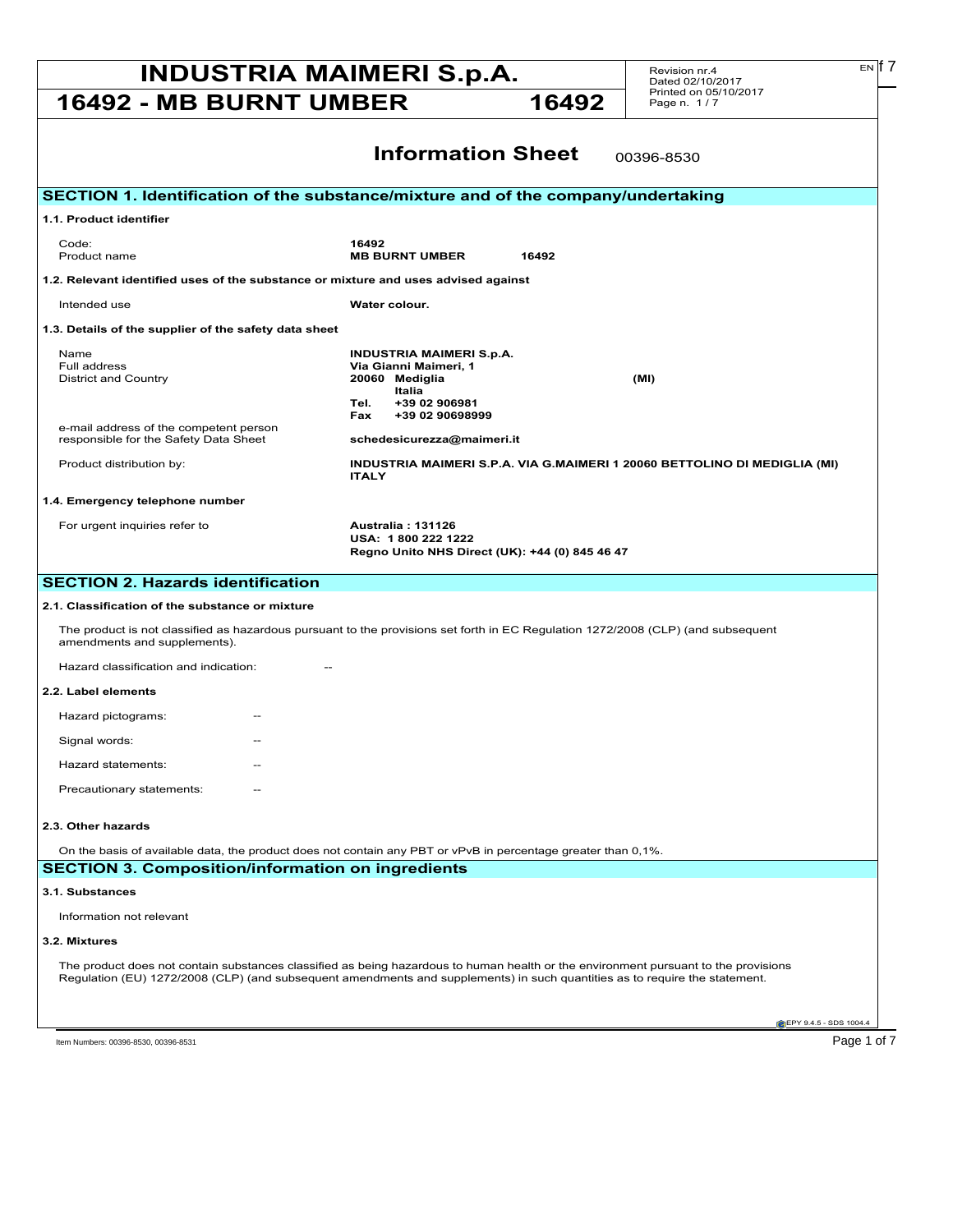# **INDUSTRIA MAIMERI S.p.A.** Revision nr.4 **Exp.17 16492 - MB BURNT UMBER 16492**

Revision nr.4 Dated 02/10/2017 Printed on 05/10/2017 Page n. 1 / 7

| <b>Information Sheet</b><br>00396-8530                                                                                                                                                                                                                             |                                                                                                                                          |  |  |
|--------------------------------------------------------------------------------------------------------------------------------------------------------------------------------------------------------------------------------------------------------------------|------------------------------------------------------------------------------------------------------------------------------------------|--|--|
|                                                                                                                                                                                                                                                                    |                                                                                                                                          |  |  |
| SECTION 1. Identification of the substance/mixture and of the company/undertaking                                                                                                                                                                                  |                                                                                                                                          |  |  |
| 1.1. Product identifier                                                                                                                                                                                                                                            |                                                                                                                                          |  |  |
| Code:<br>Product name                                                                                                                                                                                                                                              | 16492<br><b>MB BURNT UMBER</b><br>16492                                                                                                  |  |  |
| 1.2. Relevant identified uses of the substance or mixture and uses advised against                                                                                                                                                                                 |                                                                                                                                          |  |  |
| Intended use                                                                                                                                                                                                                                                       | Water colour.                                                                                                                            |  |  |
| 1.3. Details of the supplier of the safety data sheet                                                                                                                                                                                                              |                                                                                                                                          |  |  |
| Name<br>Full address<br><b>District and Country</b>                                                                                                                                                                                                                | <b>INDUSTRIA MAIMERI S.p.A.</b><br>Via Gianni Maimeri, 1<br>20060 Mediglia<br>(MI)<br>Italia<br>Tel.<br>+39 02 906981<br>+39 02 90698999 |  |  |
| e-mail address of the competent person<br>responsible for the Safety Data Sheet                                                                                                                                                                                    | Fax<br>schedesicurezza@maimeri.it                                                                                                        |  |  |
| Product distribution by:                                                                                                                                                                                                                                           | INDUSTRIA MAIMERI S.P.A. VIA G.MAIMERI 1 20060 BETTOLINO DI MEDIGLIA (MI)<br><b>ITALY</b>                                                |  |  |
| 1.4. Emergency telephone number                                                                                                                                                                                                                                    |                                                                                                                                          |  |  |
| For urgent inquiries refer to                                                                                                                                                                                                                                      | <b>Australia: 131126</b><br>USA: 1800 222 1222<br>Regno Unito NHS Direct (UK): +44 (0) 845 46 47                                         |  |  |
| <b>SECTION 2. Hazards identification</b>                                                                                                                                                                                                                           |                                                                                                                                          |  |  |
| 2.1. Classification of the substance or mixture                                                                                                                                                                                                                    |                                                                                                                                          |  |  |
| The product is not classified as hazardous pursuant to the provisions set forth in EC Regulation 1272/2008 (CLP) (and subsequent<br>amendments and supplements).                                                                                                   |                                                                                                                                          |  |  |
| Hazard classification and indication:                                                                                                                                                                                                                              |                                                                                                                                          |  |  |
| 2.2. Label elements                                                                                                                                                                                                                                                |                                                                                                                                          |  |  |
| Hazard pictograms:                                                                                                                                                                                                                                                 |                                                                                                                                          |  |  |
| Signal words:                                                                                                                                                                                                                                                      |                                                                                                                                          |  |  |
| Hazard statements:                                                                                                                                                                                                                                                 |                                                                                                                                          |  |  |
| Precautionary statements:                                                                                                                                                                                                                                          |                                                                                                                                          |  |  |
| 2.3. Other hazards                                                                                                                                                                                                                                                 |                                                                                                                                          |  |  |
| On the basis of available data, the product does not contain any PBT or vPvB in percentage greater than 0,1%.                                                                                                                                                      |                                                                                                                                          |  |  |
| <b>SECTION 3. Composition/information on ingredients</b>                                                                                                                                                                                                           |                                                                                                                                          |  |  |
| 3.1. Substances                                                                                                                                                                                                                                                    |                                                                                                                                          |  |  |
| Information not relevant                                                                                                                                                                                                                                           |                                                                                                                                          |  |  |
| 3.2. Mixtures                                                                                                                                                                                                                                                      |                                                                                                                                          |  |  |
| The product does not contain substances classified as being hazardous to human health or the environment pursuant to the provisions<br>Regulation (EU) 1272/2008 (CLP) (and subsequent amendments and supplements) in such quantities as to require the statement. |                                                                                                                                          |  |  |
|                                                                                                                                                                                                                                                                    | EPY 9.4.5 - SDS 1004.4                                                                                                                   |  |  |

Item Numbers: 00396-8530, 00396-8531 Page 1 of 7

 $E[N]$  7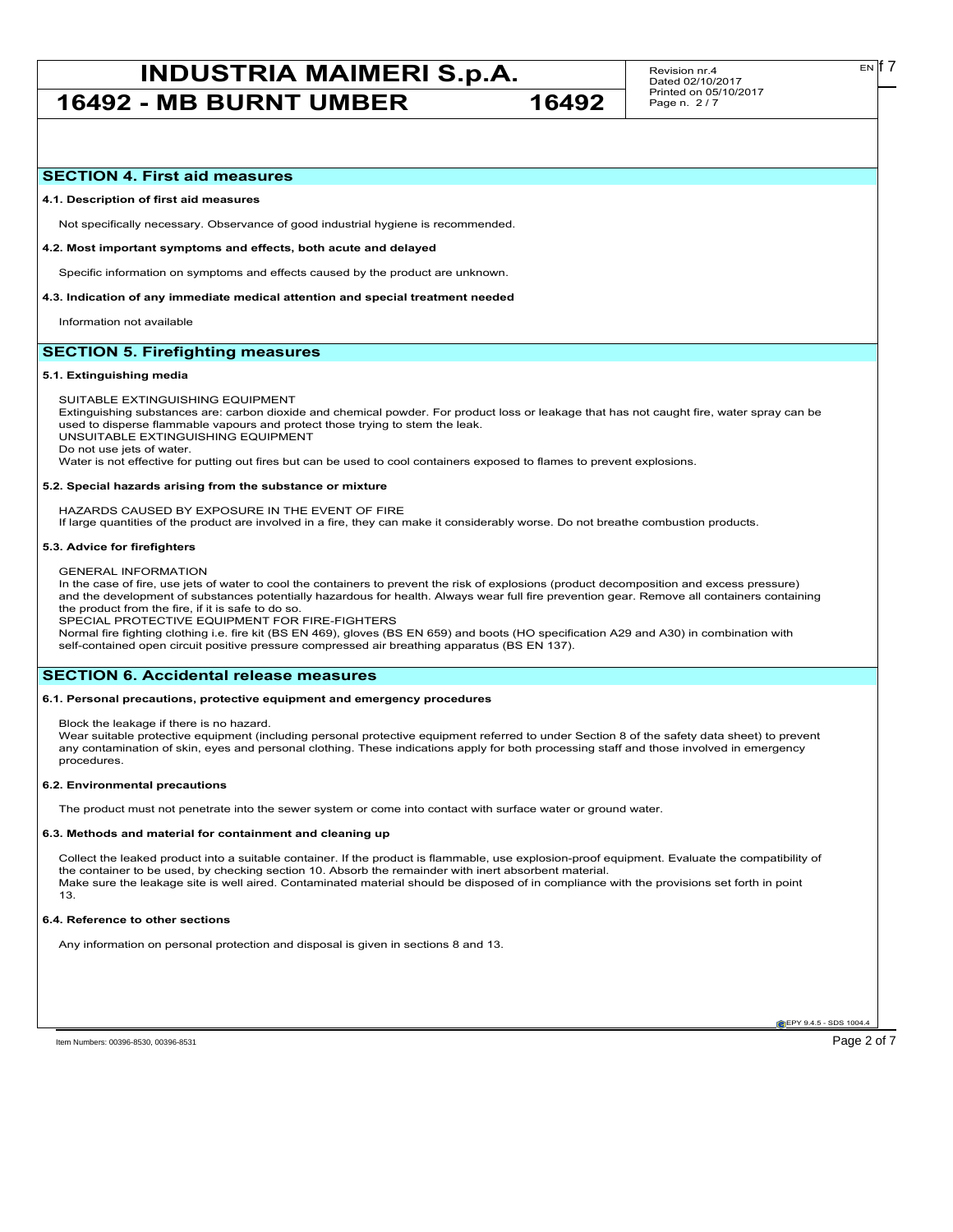## **SECTION 4. First aid measures**

## **4.1. Description of first aid measures**

Not specifically necessary. Observance of good industrial hygiene is recommended.

#### **4.2. Most important symptoms and effects, both acute and delayed**

Specific information on symptoms and effects caused by the product are unknown.

## **4.3. Indication of any immediate medical attention and special treatment needed**

Information not available

## **SECTION 5. Firefighting measures**

## **5.1. Extinguishing media**

SUITABLE EXTINGUISHING EQUIPMENT

Extinguishing substances are: carbon dioxide and chemical powder. For product loss or leakage that has not caught fire, water spray can be used to disperse flammable vapours and protect those trying to stem the leak.

UNSUITABLE EXTINGUISHING EQUIPMENT

Do not use jets of water.

Water is not effective for putting out fires but can be used to cool containers exposed to flames to prevent explosions.

#### **5.2. Special hazards arising from the substance or mixture**

HAZARDS CAUSED BY EXPOSURE IN THE EVENT OF FIRE

If large quantities of the product are involved in a fire, they can make it considerably worse. Do not breathe combustion products.

## **5.3. Advice for firefighters**

GENERAL INFORMATION

In the case of fire, use jets of water to cool the containers to prevent the risk of explosions (product decomposition and excess pressure) and the development of substances potentially hazardous for health. Always wear full fire prevention gear. Remove all containers containing the product from the fire, if it is safe to do so.

SPECIAL PROTECTIVE EQUIPMENT FOR FIRE-FIGHTERS

Normal fire fighting clothing i.e. fire kit (BS EN 469), gloves (BS EN 659) and boots (HO specification A29 and A30) in combination with self-contained open circuit positive pressure compressed air breathing apparatus (BS EN 137).

## **SECTION 6. Accidental release measures**

## **6.1. Personal precautions, protective equipment and emergency procedures**

Block the leakage if there is no hazard.

Wear suitable protective equipment (including personal protective equipment referred to under Section 8 of the safety data sheet) to prevent any contamination of skin, eyes and personal clothing. These indications apply for both processing staff and those involved in emergency procedures.

### **6.2. Environmental precautions**

The product must not penetrate into the sewer system or come into contact with surface water or ground water.

#### **6.3. Methods and material for containment and cleaning up**

Collect the leaked product into a suitable container. If the product is flammable, use explosion-proof equipment. Evaluate the compatibility of the container to be used, by checking section 10. Absorb the remainder with inert absorbent material. Make sure the leakage site is well aired. Contaminated material should be disposed of in compliance with the provisions set forth in point 13.

### **6.4. Reference to other sections**

Any information on personal protection and disposal is given in sections 8 and 13.

**EPY 9.4.5 - SDS 1004** 

Item Numbers: 00396-8530, 00396-8531 Page 2 of 7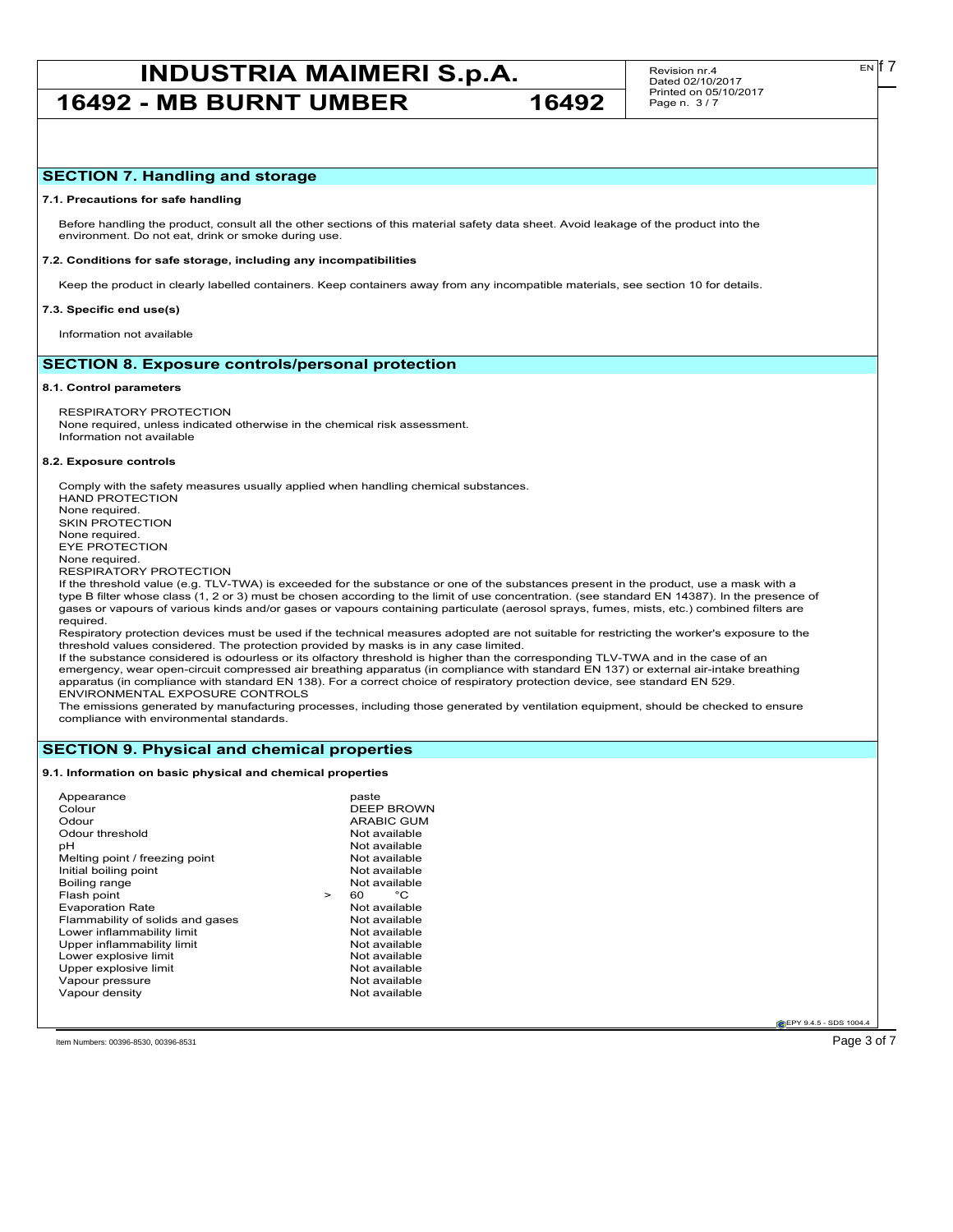# **INDUSTRIA MAIMERI S.p.A.** Revision nr.4 **Exp.17**

**16492 - MB BURNT UMBER 16492**

## **7.1. Precautions for safe handling**

Before handling the product, consult all the other sections of this material safety data sheet. Avoid leakage of the product into the environment. Do not eat, drink or smoke during use.

#### **7.2. Conditions for safe storage, including any incompatibilities**

Keep the product in clearly labelled containers. Keep containers away from any incompatible materials, see section 10 for details.

#### **7.3. Specific end use(s)**

Information not available

## **SECTION 8. Exposure controls/personal protection**

#### **8.1. Control parameters**

RESPIRATORY PROTECTION None required, unless indicated otherwise in the chemical risk assessment. Information not available

#### **8.2. Exposure controls**

Comply with the safety measures usually applied when handling chemical substances. HAND PROTECTION None required. SKIN PROTECTION None required. EYE PROTECTION None required. RESPIRATORY PROTECTION

If the threshold value (e.g. TLV-TWA) is exceeded for the substance or one of the substances present in the product, use a mask with a type B filter whose class (1, 2 or 3) must be chosen according to the limit of use concentration. (see standard EN 14387). In the presence of gases or vapours of various kinds and/or gases or vapours containing particulate (aerosol sprays, fumes, mists, etc.) combined filters are required.

Respiratory protection devices must be used if the technical measures adopted are not suitable for restricting the worker's exposure to the threshold values considered. The protection provided by masks is in any case limited.

If the substance considered is odourless or its olfactory threshold is higher than the corresponding TLV-TWA and in the case of an emergency, wear open-circuit compressed air breathing apparatus (in compliance with standard EN 137) or external air-intake breathing apparatus (in compliance with standard EN 138). For a correct choice of respiratory protection device, see standard EN 529. ENVIRONMENTAL EXPOSURE CONTROLS

The emissions generated by manufacturing processes, including those generated by ventilation equipment, should be checked to ensure compliance with environmental standards.

## **SECTION 9. Physical and chemical properties**

## **9.1. Information on basic physical and chemical properties**

**EPY 9.4.5 - SDS 1004** 

Item Numbers: 00396-8530, 00396-8531 Page 3 of 7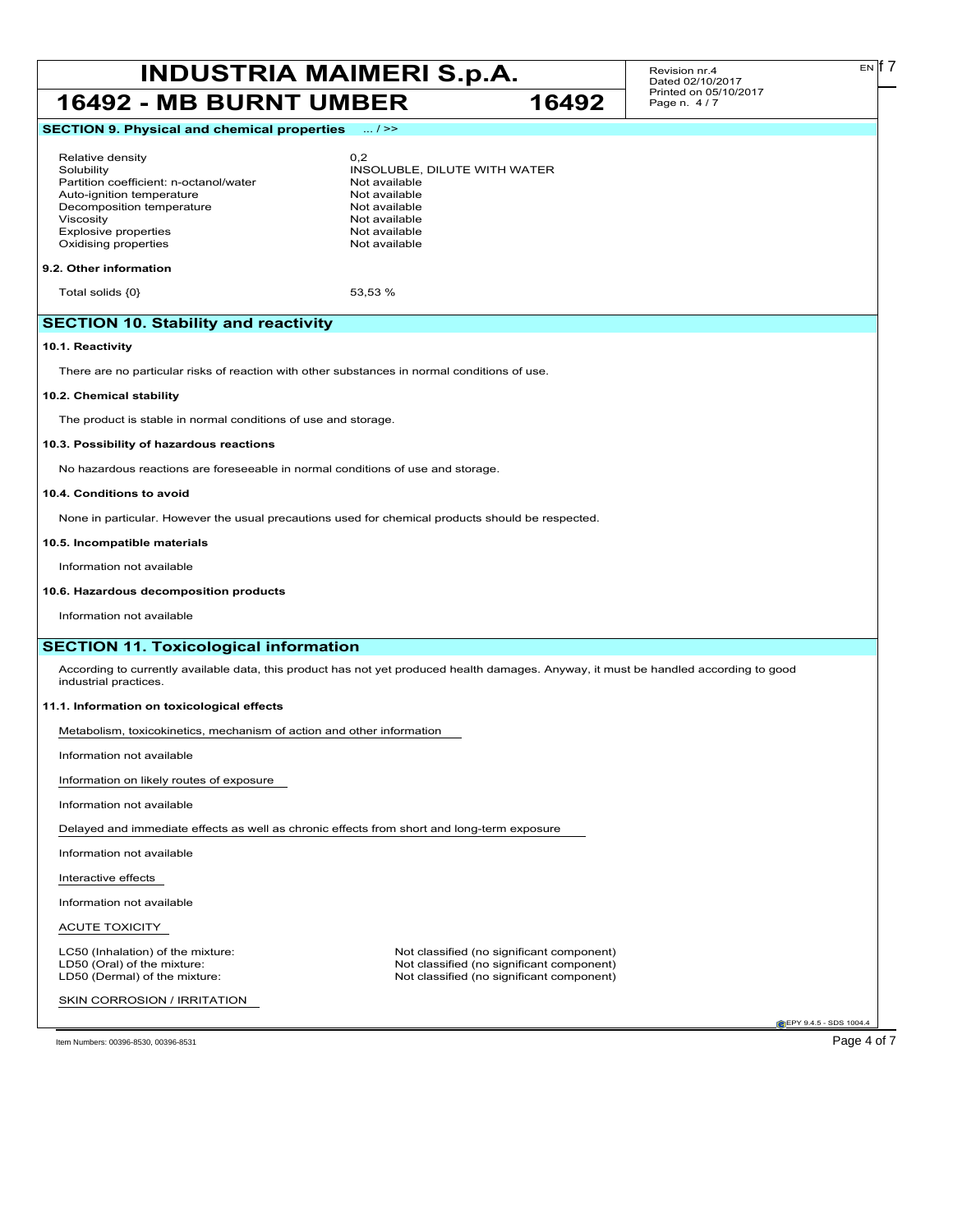# **INDUSTRIA MAIMERI S.p.A.** Revision nr.4 **Dated 02/10/2017 16492 - MB BURNT UMBER 16492**

Revision nr.4 Dated 02/10/2017 Printed on 05/10/2017 Page n. 4 / 7

## **SECTION 9. Physical and chemical properties** ... / >>

## Relative density 0,2

Partition coefficient: n-octanol/water **Not available**<br>Auto-ignition temperature **Not available** Auto-ignition temperature<br>
Decomposition temperature<br>
Not available Decomposition temperature Viscosity<br>
Explosive properties<br>
Explosive properties<br>
Not available Explosive properties Oxidising properties Not available

Solubility INSOLUBLE, DILUTE WITH WATER

## **9.2. Other information**

Total solids  $\{0\}$  53,53 %

## **SECTION 10. Stability and reactivity**

## **10.1. Reactivity**

There are no particular risks of reaction with other substances in normal conditions of use.

## **10.2. Chemical stability**

The product is stable in normal conditions of use and storage.

## **10.3. Possibility of hazardous reactions**

No hazardous reactions are foreseeable in normal conditions of use and storage.

### **10.4. Conditions to avoid**

None in particular. However the usual precautions used for chemical products should be respected.

## **10.5. Incompatible materials**

Information not available

## **10.6. Hazardous decomposition products**

Information not available

## **SECTION 11. Toxicological information**

According to currently available data, this product has not yet produced health damages. Anyway, it must be handled according to good industrial practices.

## **11.1. Information on toxicological effects**

Metabolism, toxicokinetics, mechanism of action and other information

Information not available

Information on likely routes of exposure

Information not available

Delayed and immediate effects as well as chronic effects from short and long-term exposure

Information not available

Interactive effects

Information not available

## ACUTE TOXICITY

SKIN CORROSION / IRRITATION

LC50 (Inhalation) of the mixture: Not classified (no significant component)<br>
LD50 (Oral) of the mixture: Not classified (no significant component) LD50 (Oral) of the mixture: Not classified (no significant component)<br>
LD50 (Dermal) of the mixture: Not classified (no significant component) Not classified (no significant component)

**EPY 9.4.5 - SDS 1004** 

Item Numbers: 00396-8530, 00396-8531 Page 4 of 7

EN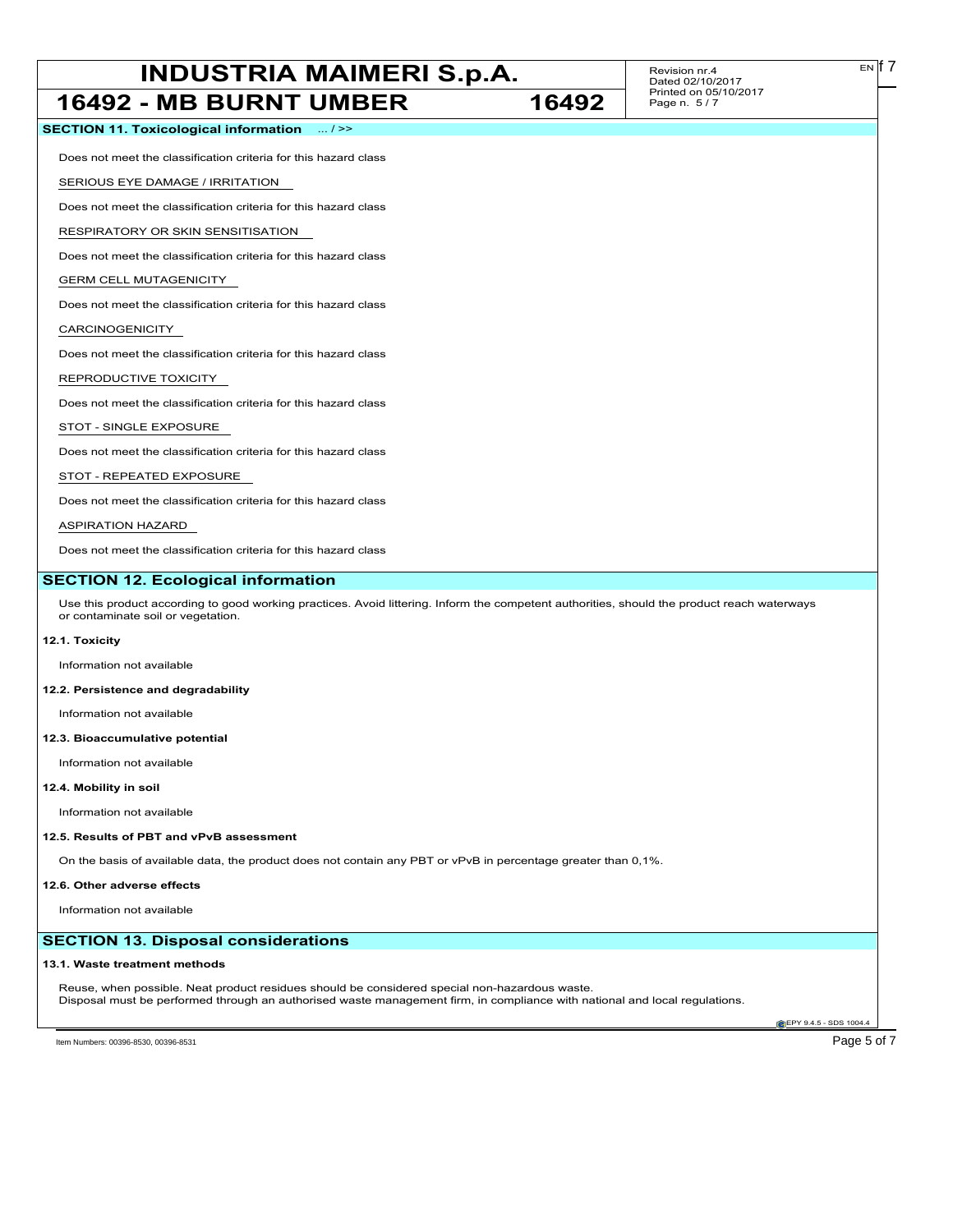# **INDUSTRIA MAIMERI S.p.A.** Revision nr.4 **Example 1 Example 1 Example 1 Example 1 Example 1 Example 1 Example 1 Example 1 Example 1 Example 1 Example 1 Example 1 Example 1 Example 1 Example 1**

Revision nr.4 Dated 02/10/2017 Printed on 05/10/2017

 $E[N]$  7

| 16492 - MB BURNT UMBER                                                                                                                                                                                                      | 16492 | Printed on 05/10/2017<br>Page n. 5/7 |
|-----------------------------------------------------------------------------------------------------------------------------------------------------------------------------------------------------------------------------|-------|--------------------------------------|
| SECTION 11. Toxicological information  / >>                                                                                                                                                                                 |       |                                      |
| Does not meet the classification criteria for this hazard class                                                                                                                                                             |       |                                      |
| SERIOUS EYE DAMAGE / IRRITATION                                                                                                                                                                                             |       |                                      |
| Does not meet the classification criteria for this hazard class                                                                                                                                                             |       |                                      |
| RESPIRATORY OR SKIN SENSITISATION                                                                                                                                                                                           |       |                                      |
| Does not meet the classification criteria for this hazard class                                                                                                                                                             |       |                                      |
| <b>GERM CELL MUTAGENICITY</b>                                                                                                                                                                                               |       |                                      |
| Does not meet the classification criteria for this hazard class                                                                                                                                                             |       |                                      |
| CARCINOGENICITY                                                                                                                                                                                                             |       |                                      |
| Does not meet the classification criteria for this hazard class                                                                                                                                                             |       |                                      |
| REPRODUCTIVE TOXICITY                                                                                                                                                                                                       |       |                                      |
| Does not meet the classification criteria for this hazard class                                                                                                                                                             |       |                                      |
| STOT - SINGLE EXPOSURE                                                                                                                                                                                                      |       |                                      |
| Does not meet the classification criteria for this hazard class                                                                                                                                                             |       |                                      |
| STOT - REPEATED EXPOSURE                                                                                                                                                                                                    |       |                                      |
| Does not meet the classification criteria for this hazard class                                                                                                                                                             |       |                                      |
| <b>ASPIRATION HAZARD</b>                                                                                                                                                                                                    |       |                                      |
| Does not meet the classification criteria for this hazard class                                                                                                                                                             |       |                                      |
| <b>SECTION 12. Ecological information</b>                                                                                                                                                                                   |       |                                      |
| Use this product according to good working practices. Avoid littering. Inform the competent authorities, should the product reach waterways<br>or contaminate soil or vegetation.                                           |       |                                      |
| 12.1. Toxicity                                                                                                                                                                                                              |       |                                      |
| Information not available                                                                                                                                                                                                   |       |                                      |
| 12.2. Persistence and degradability                                                                                                                                                                                         |       |                                      |
| Information not available                                                                                                                                                                                                   |       |                                      |
| 12.3. Bioaccumulative potential                                                                                                                                                                                             |       |                                      |
| Information not available                                                                                                                                                                                                   |       |                                      |
| 12.4. Mobility in soil                                                                                                                                                                                                      |       |                                      |
| Information not available                                                                                                                                                                                                   |       |                                      |
| 12.5. Results of PBT and vPvB assessment                                                                                                                                                                                    |       |                                      |
| On the basis of available data, the product does not contain any PBT or vPvB in percentage greater than 0,1%.                                                                                                               |       |                                      |
| 12.6. Other adverse effects                                                                                                                                                                                                 |       |                                      |
| Information not available                                                                                                                                                                                                   |       |                                      |
| <b>SECTION 13. Disposal considerations</b>                                                                                                                                                                                  |       |                                      |
| 13.1. Waste treatment methods                                                                                                                                                                                               |       |                                      |
| Reuse, when possible. Neat product residues should be considered special non-hazardous waste.<br>Disposal must be performed through an authorised waste management firm, in compliance with national and local regulations. |       |                                      |

EPY 9.4.5 - SDS 1004.4

Item Numbers: 00396-8530, 00396-8531 Page 5 of 7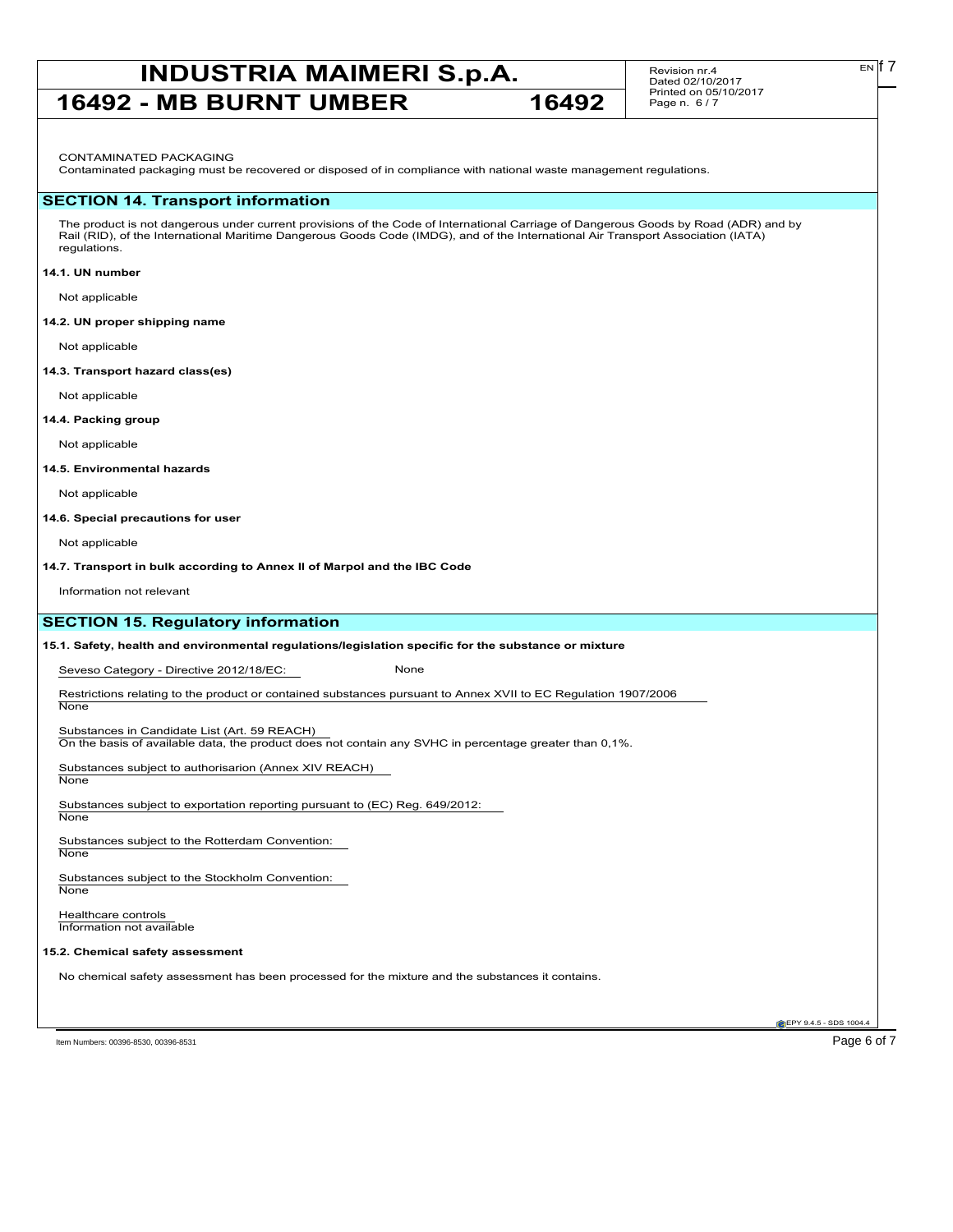## **INDUSTRIA MAIMERI S.p.A.** Revision nr.4 **Exp.17 16492 - MB BURNT UMBER 16492**

Revision nr.4 Dated 02/10/2017 Printed on 05/10/2017 Page n. 6 / 7

CONTAMINATED PACKAGING

Contaminated packaging must be recovered or disposed of in compliance with national waste management regulations.

## **SECTION 14. Transport information**

The product is not dangerous under current provisions of the Code of International Carriage of Dangerous Goods by Road (ADR) and by Rail (RID), of the International Maritime Dangerous Goods Code (IMDG), and of the International Air Transport Association (IATA) regulations.

## **14.1. UN number**

Not applicable

## **14.2. UN proper shipping name**

Not applicable

#### **14.3. Transport hazard class(es)**

Not applicable

## **14.4. Packing group**

Not applicable

## **14.5. Environmental hazards**

Not applicable

## **14.6. Special precautions for user**

Not applicable

**14.7. Transport in bulk according to Annex II of Marpol and the IBC Code**

Information not relevant

## **SECTION 15. Regulatory information**

**15.1. Safety, health and environmental regulations/legislation specific for the substance or mixture**

Seveso Category - Directive 2012/18/EC: None

Restrictions relating to the product or contained substances pursuant to Annex XVII to EC Regulation 1907/2006

Substances in Candidate List (Art. 59 REACH)

On the basis of available data, the product does not contain any SVHC in percentage greater than 0,1%.

Substances subject to authorisarion (Annex XIV REACH)

None

**None** 

Substances subject to exportation reporting pursuant to (EC) Reg. 649/2012: **None** 

Substances subject to the Rotterdam Convention: **None** 

Substances subject to the Stockholm Convention: **None** 

Healthcare controls Information not available

### **15.2. Chemical safety assessment**

No chemical safety assessment has been processed for the mixture and the substances it contains.

Item Numbers: 00396-8530, 00396-8531 Page 6 of 7

**EPY 9.4.5 - SDS 1004**